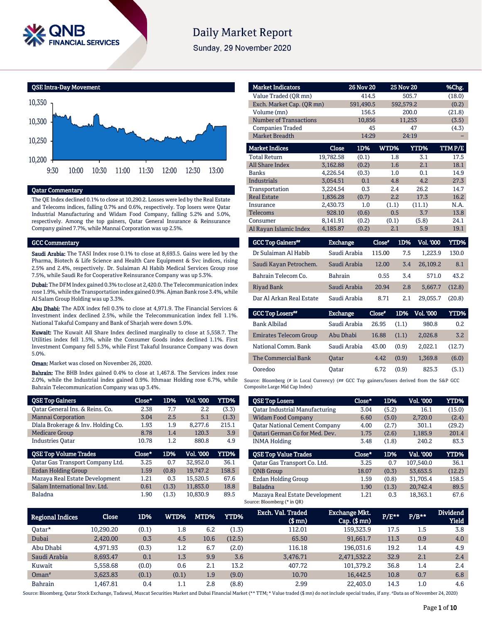

# **Daily Market Report**

Sunday, 29 November 2020



### Qatar Commentary

The QE Index declined 0.1% to close at 10,290.2. Losses were led by the Real Estate and Telecoms indices, falling 0.7% and 0.6%, respectively. Top losers were Qatar Industrial Manufacturing and Widam Food Company, falling 5.2% and 5.0%, respectively. Among the top gainers, Qatar General Insurance & Reinsurance Company gained 7.7%, while Mannai Corporation was up 2.5%.

#### GCC Commentary

Saudi Arabia: The TASI Index rose 0.1% to close at 8,693.5. Gains were led by the Pharma, Biotech & Life Science and Health Care Equipment & Svc indices, rising 2.5% and 2.4%, respectively. Dr. Sulaiman Al Habib Medical Services Group rose 7.5%, while Saudi Re for Cooperative Reinsurance Company was up 5.3%.

Dubai: The DFM Index gained 0.3% to close at 2,420.0. The Telecommunication index rose 1.9%, while the Transportation index gained 0.9%. Ajman Bank rose 3.4%, while Al Salam Group Holding was up 3.3%.

Abu Dhabi: The ADX index fell 0.3% to close at 4,971.9. The Financial Services & Investment index declined 2.5%, while the Telecommunication index fell 1.1%. National Takaful Company and Bank of Sharjah were down 5.0%.

Kuwait: The Kuwait All Share Index declined marginally to close at 5,558.7. The Utilities index fell 1.5%, while the Consumer Goods index declined 1.1%. First Investment Company fell 5.3%, while First Takaful Insurance Company was down 5.0%.

Oman: Market was closed on November 26, 2020.

Bahrain: The BHB Index gained 0.4% to close at 1,467.8. The Services index rose 2.0%, while the Industrial index gained 0.9%. Ithmaar Holding rose 6.7%, while Bahrain Telecommunication Company was up 3.4%.

| <b>QSE Top Gainers</b>             | Close* | 1D%   | Vol. '000 | <b>YTD%</b> |
|------------------------------------|--------|-------|-----------|-------------|
| Oatar General Ins. & Reins. Co.    | 2.38   | 7.7   | 2.2       | (3.3)       |
| <b>Mannai Corporation</b>          | 3.04   | 2.5   | 5.1       | (1.3)       |
| Dlala Brokerage & Inv. Holding Co. | 1.93   | 1.9   | 8.277.6   | 215.1       |
| <b>Medicare Group</b>              | 8.78   | 1.4   | 120.3     | 3.9         |
| <b>Industries Oatar</b>            | 10.78  | 1.2   | 880.8     | 4.9         |
|                                    |        |       |           |             |
| <b>QSE Top Volume Trades</b>       | Close* | 1D%   | Vol. '000 | YTD%        |
| Qatar Gas Transport Company Ltd.   | 3.25   | 0.7   | 32.952.0  | 36.1        |
| <b>Ezdan Holding Group</b>         | 1.59   | (0.8) | 19.747.2  | 158.5       |
| Mazaya Real Estate Development     | 1.21   | 0.3   | 15.520.5  | 67.6        |
| Salam International Inv. Ltd.      | 0.61   | (1.3) | 11,853.0  | 18.8        |

| <b>Market Indicators</b>      |           | <b>26 Nov 20</b> |       | <b>25 Nov 20</b> | %Chg.   |
|-------------------------------|-----------|------------------|-------|------------------|---------|
| Value Traded (OR mn)          |           | 414.5            |       | 505.7            | (18.0)  |
| Exch. Market Cap. (QR mn)     |           | 591,490.5        |       | 592,579.2        | (0.2)   |
| Volume (mn)                   |           | 156.5            |       | 200.0            | (21.8)  |
| <b>Number of Transactions</b> |           | 10,856           |       | 11,253           | (3.5)   |
| <b>Companies Traded</b>       |           | 45               |       | 47               | (4.3)   |
| <b>Market Breadth</b>         |           | 14:29            |       | 24:19            |         |
| <b>Market Indices</b>         | Close     | 1D%              | WTD%  | <b>YTD%</b>      | TTM P/E |
| <b>Total Return</b>           | 19,782.58 | (0.1)            | 1.8   | 3.1              | 17.5    |
| <b>All Share Index</b>        | 3,162.88  | (0.2)            | 1.6   | 2.1              | 18.1    |
| Banks                         | 4.226.54  | (0.3)            | 1.0   | 0.1              | 14.9    |
| <b>Industrials</b>            | 3,054.51  | 0.1              | 4.8   | 4.2              | 27.3    |
| Transportation                | 3,224.54  | 0.3              | 2.4   | 26.2             | 14.7    |
| <b>Real Estate</b>            | 1,836.28  | (0.7)            | 2.2   | 17.3             | 16.2    |
| Insurance                     | 2,430.73  | 1.0              | (1.1) | (11.1)           | N.A.    |
| Telecoms                      | 928.10    | (0.6)            | 0.5   | 3.7              | 13.8    |
| Consumer                      | 8.141.91  | (0.2)            | (0.1) | (5.8)            | 24.1    |
| Al Rayan Islamic Index        | 4,185.87  | (0.2)            | 2.1   | 5.9              | 19.1    |

| <b>GCC Top Gainers</b> " | <b>Exchange</b> | Close" | 1D% | <b>Vol. '000</b> | YTD%   |
|--------------------------|-----------------|--------|-----|------------------|--------|
| Dr Sulaiman Al Habib     | Saudi Arabia    | 115.00 | 7.5 | 1.223.9          | 130.0  |
| Saudi Kayan Petrochem.   | Saudi Arabia    | 12.00  | 3.4 | 26,109.2         | 8.1    |
| Bahrain Telecom Co.      | <b>Bahrain</b>  | 0.55   | 3.4 | 571.0            | 43.2   |
| <b>Rivad Bank</b>        | Saudi Arabia    | 20.94  | 2.8 | 5.667.7          | (12.8) |
| Dar Al Arkan Real Estate | Saudi Arabia    | 8.71   | 2.1 | 29.055.7         | (20.8) |

| <b>GCC Top Losers</b>         | <b>Exchange</b> | Close" | 1D%   | Vol. 000 | YTD%   |
|-------------------------------|-----------------|--------|-------|----------|--------|
| Bank Albilad                  | Saudi Arabia    | 26.95  | (1.1) | 980.8    | 0.2    |
| <b>Emirates Telecom Group</b> | Abu Dhabi       | 16.88  | (1.1) | 2.026.8  | 3.2    |
| National Comm. Bank           | Saudi Arabia    | 43.00  | (0.9) | 2.022.1  | (12.7) |
| The Commercial Bank           | <b>Oatar</b>    | 4.42   | (0.9) | 1.369.8  | (6.0)  |
| Ooredoo                       | <b>Oatar</b>    | 6.72   | (0.9) | 825.3    | (5.1)  |

Source: Bloomberg (# in Local Currency) (## GCC Top gainers/losers derived from the S&P GCC Composite Large Mid Cap Index)

| <b>QSE Top Losers</b>                 | Close* | 1D%   | Vol. '000 | YTD%   |
|---------------------------------------|--------|-------|-----------|--------|
| <b>Oatar Industrial Manufacturing</b> | 3.04   | (5.2) | 16.1      | (15.0) |
| <b>Widam Food Company</b>             | 6.60   | (5.0) | 2.720.0   | (2.4)  |
| <b>Qatar National Cement Company</b>  | 4.00   | (2.7) | 301.1     | (29.2) |
| Oatari German Co for Med. Dev.        | 1.75   | (2.6) | 1.185.9   | 201.4  |
| <b>INMA Holding</b>                   | 3.48   | (1.8) | 240.2     | 83.3   |
| <b>OSE Top Value Trades</b>           | Close* | 1D%   | Val. '000 | YTD%   |
| Oatar Gas Transport Co. Ltd.          | 3.25   | 0.7   | 107.540.0 | 36.1   |
| <b>ONB</b> Group                      | 18.07  | (0.3) | 53.653.5  | (12.2) |
|                                       | 1.59   | (0.8) | 31.705.4  | 158.5  |
| <b>Ezdan Holding Group</b>            |        |       |           |        |
| <b>Baladna</b>                        | 1.90   | (1.3) | 20.742.4  | 89.5   |

| <b>Regional Indices</b> | <b>Close</b> | 1D%   | WTD%' | MTD% | YTD%   | Exch. Val. Traded<br>$$$ mn $)$ | <b>Exchange Mkt.</b><br>$Cap.$ $(\$$ mn) | $P/E***$ | $P/B**$ | <b>Dividend</b><br><b>Yield</b> |
|-------------------------|--------------|-------|-------|------|--------|---------------------------------|------------------------------------------|----------|---------|---------------------------------|
| Oatar*                  | 10.290.20    | (0.1) | 1.8   | 6.2  | (1.3)  | 112.01                          | 159.323.9                                | 17.5     | 1.5     | 3.8                             |
| Dubai                   | 2.420.00     | 0.3   | 4.5   | 10.6 | (12.5) | 65.50                           | 91.661.7                                 | 11.3     | 0.9     | 4.0                             |
| Abu Dhabi               | 4.971.93     | (0.3) | 1.2   | 6.7  | (2.0)  | 116.18                          | 196.031.6                                | 19.2     | 1.4     | 4.9                             |
| Saudi Arabia            | 8,693.47     | 0.1   | 1.3   | 9.9  | 3.6    | 3.476.71                        | 2,471,532.2                              | 32.9     | 2.1     | 2.4                             |
| Kuwait                  | 5.558.68     | (0.0) | 0.6   | 2.1  | 13.2   | 407.72                          | 101.379.2                                | 36.8     | 1.4     | 2.4                             |
| $Omega^*$               | 3.623.83     | (0.1) | (0.1) | 1.9  | (9.0)  | 10.70                           | 16.442.5                                 | 10.8     | 0.7     | 6.8                             |
| <b>Bahrain</b>          | 1.467.81     | 0.4   | 1.1   | 2.8  | (8.8)  | 2.99                            | 22,403.0                                 | 14.3     | 1.0     | 4.6                             |

Source: Bloomberg, Qatar Stock Exchange, Tadawul, Muscat Securities Market and Dubai Financial Market (\*\* TTM; \* Value traded (\$ mn) do not include special trades, if any. #Data as of November 24, 2020)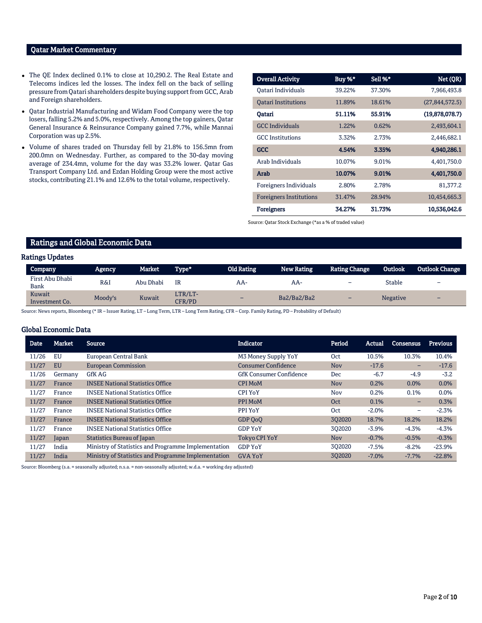### Qatar Market Commentary

- The QE Index declined 0.1% to close at 10,290.2. The Real Estate and Telecoms indices led the losses. The index fell on the back of selling pressure from Qatari shareholders despite buying support from GCC, Arab and Foreign shareholders.
- Qatar Industrial Manufacturing and Widam Food Company were the top losers, falling 5.2% and 5.0%, respectively. Among the top gainers, Qatar General Insurance & Reinsurance Company gained 7.7%, while Mannai Corporation was up 2.5%.
- Volume of shares traded on Thursday fell by 21.8% to 156.5mn from 200.0mn on Wednesday. Further, as compared to the 30-day moving average of 234.4mn, volume for the day was 33.2% lower. Qatar Gas Transport Company Ltd. and Ezdan Holding Group were the most active stocks, contributing 21.1% and 12.6% to the total volume, respectively.

| <b>Overall Activity</b>        | Buy %* | Sell %* | Net (QR)         |
|--------------------------------|--------|---------|------------------|
| Oatari Individuals             | 39.22% | 37.30%  | 7,966,493.8      |
| <b>Oatari Institutions</b>     | 11.89% | 18.61%  | (27, 844, 572.5) |
| Oatari                         | 51.11% | 55.91%  | (19,878,078.7)   |
| <b>GCC</b> Individuals         | 1.22%  | 0.62%   | 2,493,604.1      |
| <b>GCC</b> Institutions        | 3.32%  | 2.73%   | 2,446,682.1      |
| <b>GCC</b>                     | 4.54%  | 3.35%   | 4,940,286.1      |
| Arab Individuals               | 10.07% | 9.01%   | 4,401,750.0      |
| Arab                           | 10.07% | 9.01%   | 4,401,750.0      |
| Foreigners Individuals         | 2.80%  | 2.78%   | 81,377.2         |
| <b>Foreigners Institutions</b> | 31.47% | 28.94%  | 10,454,665.3     |
| <b>Foreigners</b>              | 34.27% | 31.73%  | 10,536,042.6     |

Source: Qatar Stock Exchange (\*as a % of traded value)

# Ratings and Global Economic Data

#### Ratings Updates

| <b>Company</b>           | Agency,        | Market    | Type*             | <b>Old Rating</b>        | <b>New Rating</b> | <b>Rating Change</b> | <b>Outlook</b>  | <b>Outlook Change</b> |
|--------------------------|----------------|-----------|-------------------|--------------------------|-------------------|----------------------|-----------------|-----------------------|
| First Abu Dhabi<br>Bank  | <b>R&amp;I</b> | Abu Dhabi | IR                | AA-                      | AA-               | -                    | Stable          | -                     |
| Kuwait<br>Investment Co. | Moody's        | Kuwait    | LTR/LT-<br>CFR/PD | $\overline{\phantom{0}}$ | Ba2/Ba2/Ba2       | -                    | <b>Negative</b> | -                     |

Source: News reports, Bloomberg (\* IR – Issuer Rating, LT – Long Term, LTR – Long Term Rating, CFR – Corp. Family Rating, PD – Probability of Default)

#### Global Economic Data

| <b>Date</b> | <b>Market</b> | Source                                              | <b>Indicator</b>               | Period     | Actual   | <b>Consensus</b>         | <b>Previous</b> |
|-------------|---------------|-----------------------------------------------------|--------------------------------|------------|----------|--------------------------|-----------------|
| 11/26       | EU            | European Central Bank                               | M3 Money Supply YoY            | <b>Oct</b> | 10.5%    | 10.3%                    | 10.4%           |
| 11/27       | <b>EU</b>     | <b>European Commission</b>                          | Consumer Confidence            | <b>Nov</b> | $-17.6$  | $\overline{\phantom{0}}$ | $-17.6$         |
| 11/26       | Germany       | <b>GfK AG</b>                                       | <b>GfK Consumer Confidence</b> | Dec        | $-6.7$   | $-4.9$                   | $-3.2$          |
| 11/27       | France        | <b>INSEE National Statistics Office</b>             | <b>CPI MoM</b>                 | <b>Nov</b> | 0.2%     | $0.0\%$                  | 0.0%            |
| 11/27       | France        | <b>INSEE National Statistics Office</b>             | <b>CPI YoY</b>                 | Nov        | 0.2%     | 0.1%                     | $0.0\%$         |
| 11/27       | France        | <b>INSEE National Statistics Office</b>             | PPI MoM                        | <b>Oct</b> | 0.1%     | -                        | 0.3%            |
| 11/27       | France        | <b>INSEE National Statistics Office</b>             | PPI YoY                        | Oct        | $-2.0\%$ | -                        | $-2.3%$         |
| 11/27       | France        | <b>INSEE National Statistics Office</b>             | GDP OoO                        | 302020     | 18.7%    | 18.2%                    | 18.2%           |
| 11/27       | France        | <b>INSEE National Statistics Office</b>             | <b>GDP YoY</b>                 | 302020     | $-3.9\%$ | $-4.3%$                  | $-4.3%$         |
| 11/27       | Japan         | <b>Statistics Bureau of Japan</b>                   | <b>Tokyo CPI YoY</b>           | <b>Nov</b> | $-0.7%$  | $-0.5%$                  | $-0.3%$         |
| 11/27       | India         | Ministry of Statistics and Programme Implementation | <b>GDP YoY</b>                 | 302020     | $-7.5%$  | $-8.2%$                  | $-23.9%$        |
| 11/27       | India         | Ministry of Statistics and Programme Implementation | <b>GVA YoY</b>                 | 302020     | $-7.0%$  | $-7.7%$                  | $-22.8%$        |

Source: Bloomberg (s.a. = seasonally adjusted; n.s.a. = non-seasonally adjusted; w.d.a. = working day adjusted)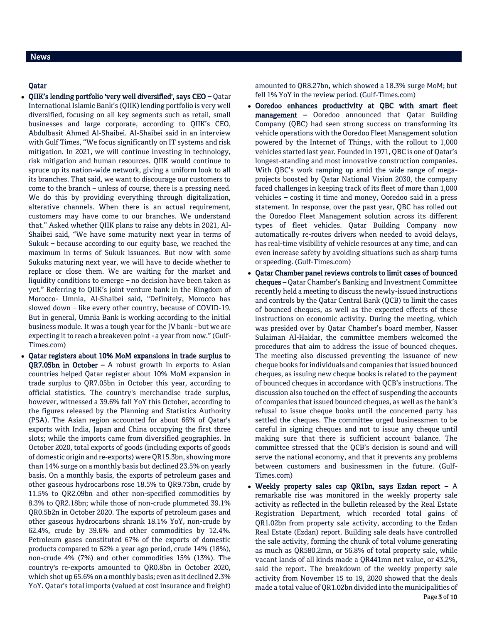# News

### Qatar

- QIIK's lending portfolio 'very well diversified', says CEO Qatar International Islamic Bank's (QIIK) lending portfolio is very well diversified, focusing on all key segments such as retail, small businesses and large corporate, according to QIIK's CEO, Abdulbasit Ahmed Al-Shaibei. Al-Shaibei said in an interview with Gulf Times, "We focus significantly on IT systems and risk mitigation. In 2021, we will continue investing in technology, risk mitigation and human resources. QIIK would continue to spruce up its nation-wide network, giving a uniform look to all its branches. That said, we want to discourage our customers to come to the branch – unless of course, there is a pressing need. We do this by providing everything through digitalization, alterative channels. When there is an actual requirement, customers may have come to our branches. We understand that." Asked whether QIIK plans to raise any debts in 2021, Al-Shaibei said, "We have some maturity next year in terms of Sukuk – because according to our equity base, we reached the maximum in terms of Sukuk issuances. But now with some Sukuks maturing next year, we will have to decide whether to replace or close them. We are waiting for the market and liquidity conditions to emerge – no decision have been taken as yet." Referring to QIIK's joint venture bank in the Kingdom of Morocco- Umnia, Al-Shaibei said, "Definitely, Morocco has slowed down – like every other country, because of COVID-19. But in general, Umnia Bank is working according to the initial business module. It was a tough year for the JV bank - but we are expecting it to reach a breakeven point - a year from now." (Gulf-Times.com)
- Qatar registers about 10% MoM expansions in trade surplus to QR7.05bn in October – A robust growth in exports to Asian countries helped Qatar register about 10% MoM expansion in trade surplus to QR7.05bn in October this year, according to official statistics. The country's merchandise trade surplus, however, witnessed a 39.6% fall YoY this October, according to the figures released by the Planning and Statistics Authority (PSA). The Asian region accounted for about 66% of Qatar's exports with India, Japan and China occupying the first three slots; while the imports came from diversified geographies. In October 2020, total exports of goods (including exports of goods of domestic origin and re-exports) were QR15.3bn, showing more than 14% surge on a monthly basis but declined 23.5% on yearly basis. On a monthly basis, the exports of petroleum gases and other gaseous hydrocarbons rose 18.5% to QR9.73bn, crude by 11.5% to QR2.09bn and other non-specified commodities by 8.3% to QR2.18bn; while those of non-crude plummeted 39.1% QR0.5b2n in October 2020. The exports of petroleum gases and other gaseous hydrocarbons shrank 18.1% YoY, non-crude by 62.4%, crude by 39.6% and other commodities by 12.4%. Petroleum gases constituted 67% of the exports of domestic products compared to 62% a year ago period, crude 14% (18%), non-crude 4% (7%) and other commodities 15% (13%). The country's re-exports amounted to QR0.8bn in October 2020, which shot up 65.6% on a monthly basis; even as it declined 2.3% YoY. Qatar's total imports (valued at cost insurance and freight)

amounted to QR8.27bn, which showed a 18.3% surge MoM; but fell 1% YoY in the review period. (Gulf-Times.com)

- Ooredoo enhances productivity at QBC with smart fleet management – Ooredoo announced that Qatar Building Company (QBC) had seen strong success on transforming its vehicle operations with the Ooredoo Fleet Management solution powered by the Internet of Things, with the rollout to 1,000 vehicles started last year. Founded in 1971, QBC is one of Qatar's longest-standing and most innovative construction companies. With QBC's work ramping up amid the wide range of megaprojects boosted by Qatar National Vision 2030, the company faced challenges in keeping track of its fleet of more than 1,000 vehicles – costing it time and money, Ooredoo said in a press statement. In response, over the past year, QBC has rolled out the Ooredoo Fleet Management solution across its different types of fleet vehicles. Qatar Building Company now automatically re-routes drivers when needed to avoid delays, has real-time visibility of vehicle resources at any time, and can even increase safety by avoiding situations such as sharp turns or speeding. (Gulf-Times.com)
- Qatar Chamber panel reviews controls to limit cases of bounced cheques – Qatar Chamber's Banking and Investment Committee recently held a meeting to discuss the newly-issued instructions and controls by the Qatar Central Bank (QCB) to limit the cases of bounced cheques, as well as the expected effects of these instructions on economic activity. During the meeting, which was presided over by Qatar Chamber's board member, Nasser Sulaiman Al-Haidar, the committee members welcomed the procedures that aim to address the issue of bounced cheques. The meeting also discussed preventing the issuance of new cheque books for individuals and companies that issued bounced cheques, as issuing new cheque books is related to the payment of bounced cheques in accordance with QCB's instructions. The discussion also touched on the effect of suspending the accounts of companies that issued bounced cheques, as well as the bank's refusal to issue cheque books until the concerned party has settled the cheques. The committee urged businessmen to be careful in signing cheques and not to issue any cheque until making sure that there is sufficient account balance. The committee stressed that the QCB's decision is sound and will serve the national economy, and that it prevents any problems between customers and businessmen in the future. (Gulf-Times.com)
- Weekly property sales cap QR1bn, says Ezdan report A remarkable rise was monitored in the weekly property sale activity as reflected in the bulletin released by the Real Estate Registration Department, which recorded total gains of QR1.02bn from property sale activity, according to the Ezdan Real Estate (Ezdan) report. Building sale deals have controlled the sale activity, forming the chunk of total volume generating as much as QR580.2mn, or 56.8% of total property sale, while vacant lands of all kinds made a QR441mn net value, or 43.2%, said the report. The breakdown of the weekly property sale activity from November 15 to 19, 2020 showed that the deals made a total value of QR1.02bn divided into the municipalities of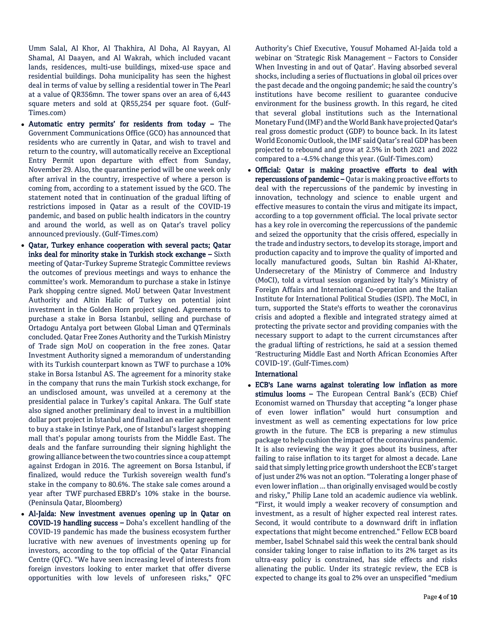Umm Salal, Al Khor, Al Thakhira, Al Doha, Al Rayyan, Al Shamal, Al Daayen, and Al Wakrah, which included vacant lands, residences, multi-use buildings, mixed-use space and residential buildings. Doha municipality has seen the highest deal in terms of value by selling a residential tower in The Pearl at a value of QR356mn. The tower spans over an area of 6,443 square meters and sold at QR55,254 per square foot. (Gulf-Times.com)

- Automatic entry permits' for residents from today The Government Communications Office (GCO) has announced that residents who are currently in Qatar, and wish to travel and return to the country, will automatically receive an Exceptional Entry Permit upon departure with effect from Sunday, November 29. Also, the quarantine period will be one week only after arrival in the country, irrespective of where a person is coming from, according to a statement issued by the GCO. The statement noted that in continuation of the gradual lifting of restrictions imposed in Qatar as a result of the COVID-19 pandemic, and based on public health indicators in the country and around the world, as well as on Qatar's travel policy announced previously. (Gulf-Times.com)
- Qatar, Turkey enhance cooperation with several pacts; Qatar inks deal for minority stake in Turkish stock exchange – Sixth meeting of Qatar-Turkey Supreme Strategic Committee reviews the outcomes of previous meetings and ways to enhance the committee's work. Memorandum to purchase a stake in Istinye Park shopping centre signed. MoU between Qatar Investment Authority and Altin Halic of Turkey on potential joint investment in the Golden Horn project signed. Agreements to purchase a stake in Borsa Istanbul, selling and purchase of Ortadogu Antalya port between Global Liman and QTerminals concluded. Qatar Free Zones Authority and the Turkish Ministry of Trade sign MoU on cooperation in the free zones. Qatar Investment Authority signed a memorandum of understanding with its Turkish counterpart known as TWF to purchase a 10% stake in Borsa Istanbul AS. The agreement for a minority stake in the company that runs the main Turkish stock exchange, for an undisclosed amount, was unveiled at a ceremony at the presidential palace in Turkey's capital Ankara. The Gulf state also signed another preliminary deal to invest in a multibillion dollar port project in Istanbul and finalized an earlier agreement to buy a stake in Istinye Park, one of Istanbul's largest shopping mall that's popular among tourists from the Middle East. The deals and the fanfare surrounding their signing highlight the growing alliance between the two countries since a coup attempt against Erdogan in 2016. The agreement on Borsa Istanbul, if finalized, would reduce the Turkish sovereign wealth fund's stake in the company to 80.6%. The stake sale comes around a year after TWF purchased EBRD's 10% stake in the bourse. (Peninsula Qatar, Bloomberg)
- Al-Jaida: New investment avenues opening up in Qatar on COVID-19 handling success – Doha's excellent handling of the COVID-19 pandemic has made the business ecosystem further lucrative with new avenues of investments opening up for investors, according to the top official of the Qatar Financial Centre (QFC). "We have seen increasing level of interests from foreign investors looking to enter market that offer diverse opportunities with low levels of unforeseen risks," QFC

Authority's Chief Executive, Yousuf Mohamed Al-Jaida told a webinar on 'Strategic Risk Management – Factors to Consider When Investing in and out of Qatar'. Having absorbed several shocks, including a series of fluctuations in global oil prices over the past decade and the ongoing pandemic; he said the country's institutions have become resilient to guarantee conducive environment for the business growth. In this regard, he cited that several global institutions such as the International Monetary Fund (IMF) and the World Bank have projected Qatar's real gross domestic product (GDP) to bounce back. In its latest World Economic Outlook, the IMF said Qatar's real GDP has been projected to rebound and grow at 2.5% in both 2021 and 2022 compared to a -4.5% change this year. (Gulf-Times.com)

 Official: Qatar is making proactive efforts to deal with repercussions of pandemic - Qatar is making proactive efforts to deal with the repercussions of the pandemic by investing in innovation, technology and science to enable urgent and effective measures to contain the virus and mitigate its impact, according to a top government official. The local private sector has a key role in overcoming the repercussions of the pandemic and seized the opportunity that the crisis offered, especially in the trade and industry sectors, to develop its storage, import and production capacity and to improve the quality of imported and locally manufactured goods, Sultan bin Rashid Al-Khater, Undersecretary of the Ministry of Commerce and Industry (MoCI), told a virtual session organized by Italy's Ministry of Foreign Affairs and International Co-operation and the Italian Institute for International Political Studies (ISPI). The MoCI, in turn, supported the State's efforts to weather the coronavirus crisis and adopted a flexible and integrated strategy aimed at protecting the private sector and providing companies with the necessary support to adapt to the current circumstances after the gradual lifting of restrictions, he said at a session themed 'Restructuring Middle East and North African Economies After COVID-19'. (Gulf-Times.com)

### International

 ECB's Lane warns against tolerating low inflation as more stimulus looms - The European Central Bank's (ECB) Chief Economist warned on Thursday that accepting "a longer phase of even lower inflation" would hurt consumption and investment as well as cementing expectations for low price growth in the future. The ECB is preparing a new stimulus package to help cushion the impact of the coronavirus pandemic. It is also reviewing the way it goes about its business, after failing to raise inflation to its target for almost a decade. Lane said that simply letting price growth undershoot the ECB's target of just under 2% was not an option. "Tolerating a longer phase of even lower inflation ... than originally envisaged would be costly and risky," Philip Lane told an academic audience via weblink. "First, it would imply a weaker recovery of consumption and investment, as a result of higher expected real interest rates. Second, it would contribute to a downward drift in inflation expectations that might become entrenched." Fellow ECB board member, Isabel Schnabel said this week the central bank should consider taking longer to raise inflation to its 2% target as its ultra-easy policy is constrained, has side effects and risks alienating the public. Under its strategic review, the ECB is expected to change its goal to 2% over an unspecified "medium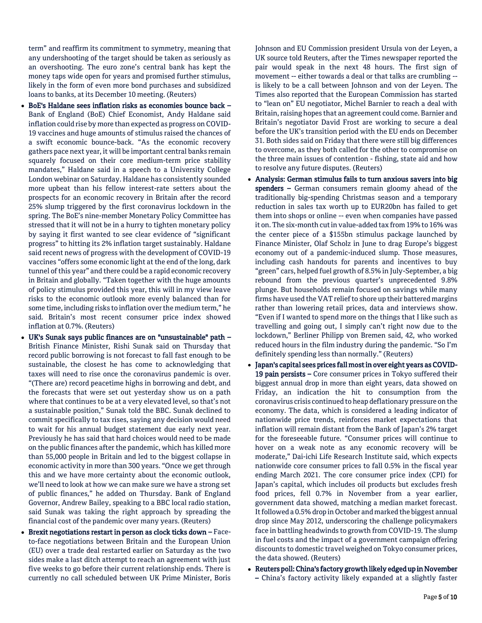term" and reaffirm its commitment to symmetry, meaning that any undershooting of the target should be taken as seriously as an overshooting. The euro zone's central bank has kept the money taps wide open for years and promised further stimulus, likely in the form of even more bond purchases and subsidized loans to banks, at its December 10 meeting. (Reuters)

- BoE's Haldane sees inflation risks as economies bounce back Bank of England (BoE) Chief Economist, Andy Haldane said inflation could rise by more than expected as progress on COVID-19 vaccines and huge amounts of stimulus raised the chances of a swift economic bounce-back. "As the economic recovery gathers pace next year, it will be important central banks remain squarely focused on their core medium-term price stability mandates," Haldane said in a speech to a University College London webinar on Saturday. Haldane has consistently sounded more upbeat than his fellow interest-rate setters about the prospects for an economic recovery in Britain after the record 25% slump triggered by the first coronavirus lockdown in the spring. The BoE's nine-member Monetary Policy Committee has stressed that it will not be in a hurry to tighten monetary policy by saying it first wanted to see clear evidence of "significant progress" to hitting its 2% inflation target sustainably. Haldane said recent news of progress with the development of COVID-19 vaccines "offers some economic light at the end of the long, dark tunnel of this year" and there could be a rapid economic recovery in Britain and globally. "Taken together with the huge amounts of policy stimulus provided this year, this will in my view leave risks to the economic outlook more evenly balanced than for some time, including risks to inflation over the medium term," he said. Britain's most recent consumer price index showed inflation at 0.7%. (Reuters)
- UK's Sunak says public finances are on "unsustainable" path British Finance Minister, Rishi Sunak said on Thursday that record public borrowing is not forecast to fall fast enough to be sustainable, the closest he has come to acknowledging that taxes will need to rise once the coronavirus pandemic is over. "(There are) record peacetime highs in borrowing and debt, and the forecasts that were set out yesterday show us on a path where that continues to be at a very elevated level, so that's not a sustainable position," Sunak told the BBC. Sunak declined to commit specifically to tax rises, saying any decision would need to wait for his annual budget statement due early next year. Previously he has said that hard choices would need to be made on the public finances after the pandemic, which has killed more than 55,000 people in Britain and led to the biggest collapse in economic activity in more than 300 years. "Once we get through this and we have more certainty about the economic outlook, we'll need to look at how we can make sure we have a strong set of public finances," he added on Thursday. Bank of England Governor, Andrew Bailey, speaking to a BBC local radio station, said Sunak was taking the right approach by spreading the financial cost of the pandemic over many years. (Reuters)
- Brexit negotiations restart in person as clock ticks down Faceto-face negotiations between Britain and the European Union (EU) over a trade deal restarted earlier on Saturday as the two sides make a last ditch attempt to reach an agreement with just five weeks to go before their current relationship ends. There is currently no call scheduled between UK Prime Minister, Boris

Johnson and EU Commission president Ursula von der Leyen, a UK source told Reuters, after the Times newspaper reported the pair would speak in the next 48 hours. The first sign of movement -- either towards a deal or that talks are crumbling - is likely to be a call between Johnson and von der Leyen. The Times also reported that the European Commission has started to "lean on" EU negotiator, Michel Barnier to reach a deal with Britain, raising hopes that an agreement could come. Barnier and Britain's negotiator David Frost are working to secure a deal before the UK's transition period with the EU ends on December 31. Both sides said on Friday that there were still big differences to overcome, as they both called for the other to compromise on the three main issues of contention - fishing, state aid and how to resolve any future disputes. (Reuters)

- Analysis: German stimulus fails to turn anxious savers into big spenders - German consumers remain gloomy ahead of the traditionally big-spending Christmas season and a temporary reduction in sales tax worth up to EUR20bn has failed to get them into shops or online -- even when companies have passed it on. The six-month cut in value-added tax from 19% to 16% was the center piece of a \$155bn stimulus package launched by Finance Minister, Olaf Scholz in June to drag Europe's biggest economy out of a pandemic-induced slump. Those measures, including cash handouts for parents and incentives to buy "green" cars, helped fuel growth of 8.5% in July-September, a big rebound from the previous quarter's unprecedented 9.8% plunge. But households remain focused on savings while many firms have used the VAT relief to shore up their battered margins rather than lowering retail prices, data and interviews show. "Even if I wanted to spend more on the things that I like such as travelling and going out, I simply can't right now due to the lockdown," Berliner Philipp von Bremen said, 42, who worked reduced hours in the film industry during the pandemic. "So I'm definitely spending less than normally." (Reuters)
- Japan's capital sees prices fall most in over eight years as COVID-19 pain persists – Core consumer prices in Tokyo suffered their biggest annual drop in more than eight years, data showed on Friday, an indication the hit to consumption from the coronavirus crisis continued to heap deflationary pressure on the economy. The data, which is considered a leading indicator of nationwide price trends, reinforces market expectations that inflation will remain distant from the Bank of Japan's 2% target for the foreseeable future. "Consumer prices will continue to hover on a weak note as any economic recovery will be moderate," Dai-ichi Life Research Institute said, which expects nationwide core consumer prices to fall 0.5% in the fiscal year ending March 2021. The core consumer price index (CPI) for Japan's capital, which includes oil products but excludes fresh food prices, fell 0.7% in November from a year earlier, government data showed, matching a median market forecast. It followed a 0.5% drop in October and marked the biggest annual drop since May 2012, underscoring the challenge policymakers face in battling headwinds to growth from COVID-19. The slump in fuel costs and the impact of a government campaign offering discounts to domestic travel weighed on Tokyo consumer prices, the data showed. (Reuters)
- Reuters poll: China's factory growth likely edged up in November – China's factory activity likely expanded at a slightly faster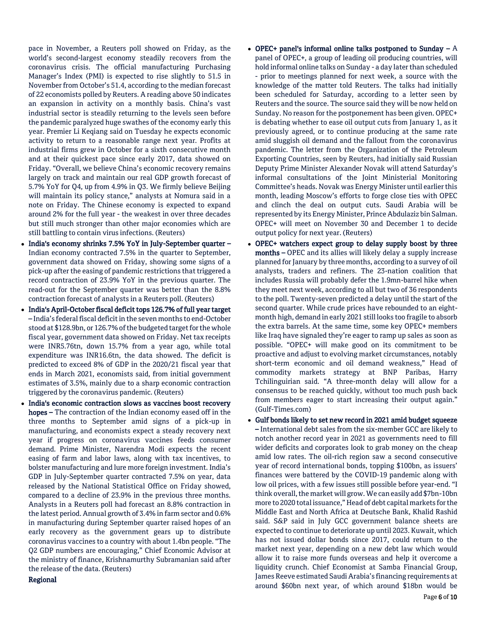pace in November, a Reuters poll showed on Friday, as the world's second-largest economy steadily recovers from the coronavirus crisis. The official manufacturing Purchasing Manager's Index (PMI) is expected to rise slightly to 51.5 in November from October's 51.4, according to the median forecast of 22 economists polled by Reuters. A reading above 50 indicates an expansion in activity on a monthly basis. China's vast industrial sector is steadily returning to the levels seen before the pandemic paralyzed huge swathes of the economy early this year. Premier Li Keqiang said on Tuesday he expects economic activity to return to a reasonable range next year. Profits at industrial firms grew in October for a sixth consecutive month and at their quickest pace since early 2017, data showed on Friday. "Overall, we believe China's economic recovery remains largely on track and maintain our real GDP growth forecast of 5.7% YoY for Q4, up from 4.9% in Q3. We firmly believe Beijing will maintain its policy stance," analysts at Nomura said in a note on Friday. The Chinese economy is expected to expand around 2% for the full year - the weakest in over three decades but still much stronger than other major economies which are still battling to contain virus infections. (Reuters)

- India's economy shrinks 7.5% YoY in July-September quarter Indian economy contracted 7.5% in the quarter to September, government data showed on Friday, showing some signs of a pick-up after the easing of pandemic restrictions that triggered a record contraction of 23.9% YoY in the previous quarter. The read-out for the September quarter was better than the 8.8% contraction forecast of analysts in a Reuters poll. (Reuters)
- India's April-October fiscal deficit tops 126.7% of full year target – India's federal fiscal deficit in the seven months to end-October stood at \$128.9bn, or 126.7% of the budgeted target for the whole fiscal year, government data showed on Friday. Net tax receipts were INR5.76tn, down 15.7% from a year ago, while total expenditure was INR16.6tn, the data showed. The deficit is predicted to exceed 8% of GDP in the 2020/21 fiscal year that ends in March 2021, economists said, from initial government estimates of 3.5%, mainly due to a sharp economic contraction triggered by the coronavirus pandemic. (Reuters)
- India's economic contraction slows as vaccines boost recovery hopes – The contraction of the Indian economy eased off in the three months to September amid signs of a pick-up in manufacturing, and economists expect a steady recovery next year if progress on coronavirus vaccines feeds consumer demand. Prime Minister, Narendra Modi expects the recent easing of farm and labor laws, along with tax incentives, to bolster manufacturing and lure more foreign investment. India's GDP in July-September quarter contracted 7.5% on year, data released by the National Statistical Office on Friday showed, compared to a decline of 23.9% in the previous three months. Analysts in a Reuters poll had forecast an 8.8% contraction in the latest period. Annual growth of 3.4% in farm sector and 0.6% in manufacturing during September quarter raised hopes of an early recovery as the government gears up to distribute coronavirus vaccines to a country with about 1.4bn people. "The Q2 GDP numbers are encouraging," Chief Economic Advisor at the ministry of finance, Krishnamurthy Subramanian said after the release of the data. (Reuters)

### Regional

- OPEC+ panel's informal online talks postponed to Sunday  $A$ panel of OPEC+, a group of leading oil producing countries, will hold informal online talks on Sunday - a day later than scheduled - prior to meetings planned for next week, a source with the knowledge of the matter told Reuters. The talks had initially been scheduled for Saturday, according to a letter seen by Reuters and the source. The source said they will be now held on Sunday. No reason for the postponement has been given. OPEC+ is debating whether to ease oil output cuts from January 1, as it previously agreed, or to continue producing at the same rate amid sluggish oil demand and the fallout from the coronavirus pandemic. The letter from the Organization of the Petroleum Exporting Countries, seen by Reuters, had initially said Russian Deputy Prime Minister Alexander Novak will attend Saturday's informal consultations of the Joint Ministerial Monitoring Committee's heads. Novak was Energy Minister until earlier this month, leading Moscow's efforts to forge close ties with OPEC and clinch the deal on output cuts. Saudi Arabia will be represented by its Energy Minister, Prince Abdulaziz bin Salman. OPEC+ will meet on November 30 and December 1 to decide output policy for next year. (Reuters)
- OPEC+ watchers expect group to delay supply boost by three months – OPEC and its allies will likely delay a supply increase planned for January by three months, according to a survey of oil analysts, traders and refiners. The 23-nation coalition that includes Russia will probably defer the 1.9mn-barrel hike when they meet next week, according to all but two of 36 respondents to the poll. Twenty-seven predicted a delay until the start of the second quarter. While crude prices have rebounded to an eightmonth high, demand in early 2021 still looks too fragile to absorb the extra barrels. At the same time, some key OPEC+ members like Iraq have signaled they're eager to ramp up sales as soon as possible. "OPEC+ will make good on its commitment to be proactive and adjust to evolving market circumstances, notably short-term economic and oil demand weakness," Head of commodity markets strategy at BNP Paribas, Harry Tchilinguirian said. "A three-month delay will allow for a consensus to be reached quickly, without too much push back from members eager to start increasing their output again." (Gulf-Times.com)
- Gulf bonds likely to set new record in 2021 amid budget squeeze – International debt sales from the six-member GCC are likely to notch another record year in 2021 as governments need to fill wider deficits and corporates look to grab money on the cheap amid low rates. The oil-rich region saw a second consecutive year of record international bonds, topping \$100bn, as issuers' finances were battered by the COVID-19 pandemic along with low oil prices, with a few issues still possible before year-end. "I think overall, the market will grow. We can easily add \$7bn-10bn more to 2020 total issuance," Head of debt capital markets for the Middle East and North Africa at Deutsche Bank, Khalid Rashid said. S&P said in July GCC government balance sheets are expected to continue to deteriorate up until 2023. Kuwait, which has not issued dollar bonds since 2017, could return to the market next year, depending on a new debt law which would allow it to raise more funds overseas and help it overcome a liquidity crunch. Chief Economist at Samba Financial Group, James Reeve estimated Saudi Arabia's financing requirements at around \$60bn next year, of which around \$18bn would be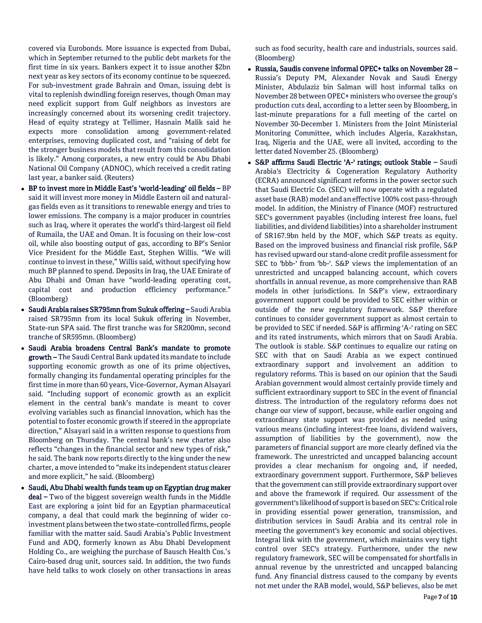covered via Eurobonds. More issuance is expected from Dubai, which in September returned to the public debt markets for the first time in six years. Bankers expect it to issue another \$2bn next year as key sectors of its economy continue to be squeezed. For sub-investment grade Bahrain and Oman, issuing debt is vital to replenish dwindling foreign reserves, though Oman may need explicit support from Gulf neighbors as investors are increasingly concerned about its worsening credit trajectory. Head of equity strategy at Tellimer, Hasnain Malik said he expects more consolidation among government-related enterprises, removing duplicated cost, and "raising of debt for the stronger business models that result from this consolidation is likely." Among corporates, a new entry could be Abu Dhabi National Oil Company (ADNOC), which received a credit rating last year, a banker said. (Reuters)

- BP to invest more in Middle East's 'world-leading' oil fields BP said it will invest more money in Middle Eastern oil and naturalgas fields even as it transitions to renewable energy and tries to lower emissions. The company is a major producer in countries such as Iraq, where it operates the world's third-largest oil field of Rumaila, the UAE and Oman. It is focusing on their low-cost oil, while also boosting output of gas, according to BP's Senior Vice President for the Middle East, Stephen Willis. "We will continue to invest in these," Willis said, without specifying how much BP planned to spend. Deposits in Iraq, the UAE Emirate of Abu Dhabi and Oman have "world-leading operating cost, capital cost and production efficiency performance." (Bloomberg)
- Saudi Arabia raises SR795mn from Sukuk offering Saudi Arabia raised SR795mn from its local Sukuk offering in November, State-run SPA said. The first tranche was for SR200mn, second tranche of SR595mn. (Bloomberg)
- Saudi Arabia broadens Central Bank's mandate to promote growth – The Saudi Central Bank updated its mandate to include supporting economic growth as one of its prime objectives, formally changing its fundamental operating principles for the first time in more than 60 years, Vice-Governor, Ayman Alsayari said. "Including support of economic growth as an explicit element in the central bank's mandate is meant to cover evolving variables such as financial innovation, which has the potential to foster economic growth if steered in the appropriate direction," Alsayari said in a written response to questions from Bloomberg on Thursday. The central bank's new charter also reflects "changes in the financial sector and new types of risk," he said. The bank now reports directly to the king under the new charter, a move intended to "make its independent status clearer and more explicit," he said. (Bloomberg)
- Saudi, Abu Dhabi wealth funds team up on Egyptian drug maker deal – Two of the biggest sovereign wealth funds in the Middle East are exploring a joint bid for an Egyptian pharmaceutical company, a deal that could mark the beginning of wider coinvestment plans between the two state-controlled firms, people familiar with the matter said. Saudi Arabia's Public Investment Fund and ADQ, formerly known as Abu Dhabi Development Holding Co., are weighing the purchase of Bausch Health Cos.'s Cairo-based drug unit, sources said. In addition, the two funds have held talks to work closely on other transactions in areas

such as food security, health care and industrials, sources said. (Bloomberg)

- Russia, Saudis convene informal OPEC+ talks on November 28 Russia's Deputy PM, Alexander Novak and Saudi Energy Minister, Abdulaziz bin Salman will host informal talks on November 28 between OPEC+ ministers who oversee the group's production cuts deal, according to a letter seen by Bloomberg, in last-minute preparations for a full meeting of the cartel on November 30-December 1. Ministers from the Joint Ministerial Monitoring Committee, which includes Algeria, Kazakhstan, Iraq, Nigeria and the UAE, were all invited, according to the letter dated November 25. (Bloomberg)
- S&P affirms Saudi Electric 'A-' ratings; outlook Stable Saudi Arabia's Electricity & Cogeneration Regulatory Authority (ECRA) announced significant reforms in the power sector such that Saudi Electric Co. (SEC) will now operate with a regulated asset base (RAB) model and an effective 100% cost pass-through model. In addition, the Ministry of Finance (MOF) restructured SEC's government payables (including interest free loans, fuel liabilities, and dividend liabilities) into a shareholder instrument of SR167.9bn held by the MOF, which S&P treats as equity. Based on the improved business and financial risk profile, S&P has revised upward our stand-alone credit profile assessment for SEC to 'bbb-' from 'bb-'. S&P views the implementation of an unrestricted and uncapped balancing account, which covers shortfalls in annual revenue, as more comprehensive than RAB models in other jurisdictions. In S&P's view, extraordinary government support could be provided to SEC either within or outside of the new regulatory framework. S&P therefore continues to consider government support as almost certain to be provided to SEC if needed. S&P is affirming 'A-' rating on SEC and its rated instruments, which mirrors that on Saudi Arabia. The outlook is stable. S&P continues to equalize our rating on SEC with that on Saudi Arabia as we expect continued extraordinary support and involvement an addition to regulatory reforms. This is based on our opinion that the Saudi Arabian government would almost certainly provide timely and sufficient extraordinary support to SEC in the event of financial distress. The introduction of the regulatory reforms does not change our view of support, because, while earlier ongoing and extraordinary state support was provided as needed using various means (including interest-free loans, dividend waivers, assumption of liabilities by the government), now the parameters of financial support are more clearly defined via the framework. The unrestricted and uncapped balancing account provides a clear mechanism for ongoing and, if needed, extraordinary government support. Furthermore, S&P believes that the government can still provide extraordinary support over and above the framework if required. Our assessment of the government's likelihood of support is based on SEC's: Critical role in providing essential power generation, transmission, and distribution services in Saudi Arabia and its central role in meeting the government's key economic and social objectives. Integral link with the government, which maintains very tight control over SEC's strategy. Furthermore, under the new regulatory framework, SEC will be compensated for shortfalls in annual revenue by the unrestricted and uncapped balancing fund. Any financial distress caused to the company by events not met under the RAB model, would, S&P believes, also be met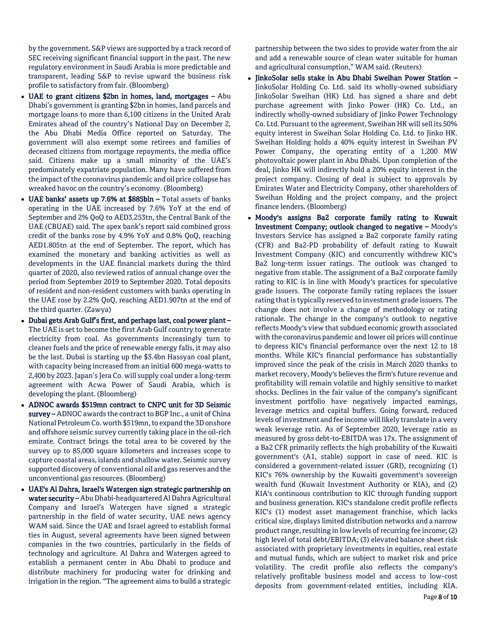by the government. S&P views are supported by a track record of SEC receiving significant financial support in the past. The new regulatory environment in Saudi Arabia is more predictable and transparent, leading S&P to revise upward the business risk profile to satisfactory from fair. (Bloomberg)

- UAE to grant citizens \$2bn in homes, land, mortgages Abu Dhabi's government is granting \$2bn in homes, land parcels and mortgage loans to more than 6,100 citizens in the United Arab Emirates ahead of the country's National Day on December 2, the Abu Dhabi Media Office reported on Saturday. The government will also exempt some retirees and families of deceased citizens from mortgage repayments, the media office said. Citizens make up a small minority of the UAE's predominately expatriate population. Many have suffered from the impact of the coronavirus pandemic and oil price collapse has wreaked havoc on the country's economy. (Bloomberg)
- UAE banks' assets up 7.6% at \$885bln Total assets of banks operating in the UAE increased by 7.6% YoY at the end of September and 2% QoQ to AED3.253tn, the Central Bank of the UAE (CBUAE) said. The apex bank's report said combined gross credit of the banks rose by 4.9% YoY and 0.8% QoQ, reaching AED1.805tn at the end of September. The report, which has examined the monetary and banking activities as well as developments in the UAE financial markets during the third quarter of 2020, also reviewed ratios of annual change over the period from September 2019 to September 2020. Total deposits of resident and non-resident customers with banks operating in the UAE rose by 2.2% QoQ, reaching AED1.907tn at the end of the third quarter. (Zawya)
- Dubai gets Arab Gulf's first, and perhaps last, coal power plant The UAE is set to become the first Arab Gulf country to generate electricity from coal. As governments increasingly turn to cleaner fuels and the price of renewable energy falls, it may also be the last. Dubai is starting up the \$3.4bn Hassyan coal plant, with capacity being increased from an initial 600 mega-watts to 2,400 by 2023. Japan's Jera Co. will supply coal under a long-term agreement with Acwa Power of Saudi Arabia, which is developing the plant. (Bloomberg)
- ADNOC awards \$519mn contract to CNPC unit for 3D Seismic survey – ADNOC awards the contract to BGP Inc., a unit of China National Petroleum Co. worth \$519mn, to expand the 3D onshore and offshore seismic survey currently taking place in the oil-rich emirate. Contract brings the total area to be covered by the survey up to 85,000 square kilometers and increases scope to capture coastal areas, islands and shallow water. Seismic survey supported discovery of conventional oil and gas reserves and the unconventional gas resources. (Bloomberg)
- UAE's Al Dahra, Israel's Watergen sign strategic partnership on water security – Abu Dhabi-headquartered Al Dahra Agricultural Company and Israel's Watergen have signed a strategic partnership in the field of water security, UAE news agency WAM said. Since the UAE and Israel agreed to establish formal ties in August, several agreements have been signed between companies in the two countries, particularly in the fields of technology and agriculture. Al Dahra and Watergen agreed to establish a permanent center in Abu Dhabi to produce and distribute machinery for producing water for drinking and irrigation in the region. "The agreement aims to build a strategic

partnership between the two sides to provide water from the air and add a renewable source of clean water suitable for human and agricultural consumption," WAM said. (Reuters)

- JinkoSolar sells stake in Abu Dhabi Sweihan Power Station -JinkoSolar Holding Co. Ltd. said its wholly-owned subsidiary JinkoSolar Sweihan (HK) Ltd. has signed a share and debt purchase agreement with Jinko Power (HK) Co. Ltd., an indirectly wholly-owned subsidiary of Jinko Power Technology Co. Ltd. Pursuant to the agreement, Sweihan HK will sell its 50% equity interest in Sweihan Solar Holding Co. Ltd. to Jinko HK. Sweihan Holding holds a 40% equity interest in Sweihan PV Power Company, the operating entity of a 1,200 MW photovoltaic power plant in Abu Dhabi. Upon completion of the deal, Jinko HK will indirectly hold a 20% equity interest in the project company. Closing of deal is subject to approvals by Emirates Water and Electricity Company, other shareholders of Sweihan Holding and the project company, and the project finance lenders. (Bloomberg)
- Moody's assigns Ba2 corporate family rating to Kuwait Investment Company; outlook changed to negative – Moody's Investors Service has assigned a Ba2 corporate family rating (CFR) and Ba2-PD probability of default rating to Kuwait Investment Company (KIC) and concurrently withdrew KIC's Ba2 long-term issuer ratings. The outlook was changed to negative from stable. The assignment of a Ba2 corporate family rating to KIC is in line with Moody's practices for speculative grade issuers. The corporate family rating replaces the issuer rating that is typically reserved to investment grade issuers. The change does not involve a change of methodology or rating rationale. The change in the company's outlook to negative reflects Moody's view that subdued economic growth associated with the coronavirus pandemic and lower oil prices will continue to depress KIC's financial performance over the next 12 to 18 months. While KIC's financial performance has substantially improved since the peak of the crisis in March 2020 thanks to market recovery, Moody's believes the firm's future revenue and profitability will remain volatile and highly sensitive to market shocks. Declines in the fair value of the company's significant investment portfolio have negatively impacted earnings, leverage metrics and capital buffers. Going forward, reduced levels of investment and fee income will likely translate in a very weak leverage ratio. As of September 2020, leverage ratio as measured by gross debt-to-EBITDA was 17x. The assignment of a Ba2 CFR primarily reflects the high probability of the Kuwaiti government's (A1, stable) support in case of need. KIC is considered a government-related issuer (GRI), recognizing (1) KIC's 76% ownership by the Kuwaiti government's sovereign wealth fund (Kuwait Investment Authority or KIA), and (2) KIA's continuous contribution to KIC through funding support and business generation. KIC's standalone credit profile reflects KIC's (1) modest asset management franchise, which lacks critical size, displays limited distribution networks and a narrow product range, resulting in low levels of recurring fee income; (2) high level of total debt/EBITDA; (3) elevated balance sheet risk associated with proprietary investments in equities, real estate and mutual funds, which are subject to market risk and price volatility. The credit profile also reflects the company's relatively profitable business model and access to low-cost deposits from government-related entities, including KIA.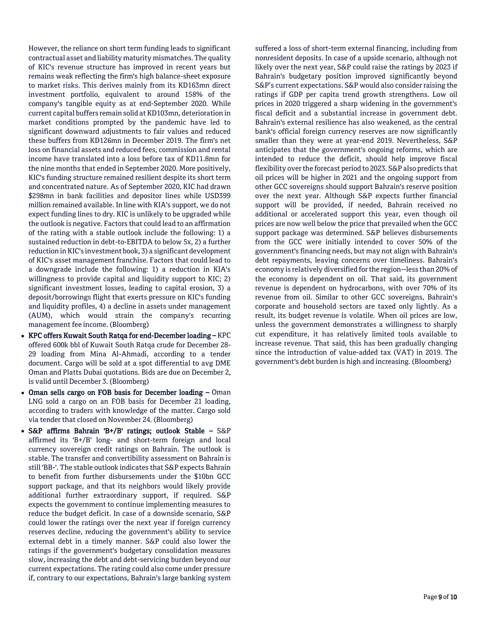However, the reliance on short term funding leads to significant contractual asset and liability maturity mismatches. The quality of KIC's revenue structure has improved in recent years but remains weak reflecting the firm's high balance-sheet exposure to market risks. This derives mainly from its KD163mn direct investment portfolio, equivalent to around 158% of the company's tangible equity as at end-September 2020. While current capital buffers remain solid at KD103mn, deterioration in market conditions prompted by the pandemic have led to significant downward adjustments to fair values and reduced these buffers from KD126mn in December 2019. The firm's net loss on financial assets and reduced fees, commission and rental income have translated into a loss before tax of KD11.8mn for the nine months that ended in September 2020. More positively, KIC's funding structure remained resilient despite its short term and concentrated nature. As of September 2020, KIC had drawn \$298mn in bank facilities and depositor lines while USD399 million remained available. In line with KIA's support, we do not expect funding lines to dry. KIC is unlikely to be upgraded while the outlook is negative. Factors that could lead to an affirmation of the rating with a stable outlook include the following: 1) a sustained reduction in debt-to-EBITDA to below 5x, 2) a further reduction in KIC's investment book, 3) a significant development of KIC's asset management franchise. Factors that could lead to a downgrade include the following: 1) a reduction in KIA's willingness to provide capital and liquidity support to KIC; 2) significant investment losses, leading to capital erosion, 3) a deposit/borrowings flight that exerts pressure on KIC's funding and liquidity profiles, 4) a decline in assets under management (AUM), which would strain the company's recurring management fee income. (Bloomberg)

- KPC offers Kuwait South Ratqa for end-December loading KPC offered 600k bbl of Kuwait South Ratqa crude for December 28- 29 loading from Mina Al-Ahmadi, according to a tender document. Cargo will be sold at a spot differential to avg DME Oman and Platts Dubai quotations. Bids are due on December 2, is valid until December 3. (Bloomberg)
- Oman sells cargo on FOB basis for December loading Oman LNG sold a cargo on an FOB basis for December 21 loading, according to traders with knowledge of the matter. Cargo sold via tender that closed on November 24. (Bloomberg)
- S&P affirms Bahrain 'B+/B' ratings; outlook Stable S&P affirmed its 'B+/B' long- and short-term foreign and local currency sovereign credit ratings on Bahrain. The outlook is stable. The transfer and convertibility assessment on Bahrain is still 'BB-'. The stable outlook indicates that S&P expects Bahrain to benefit from further disbursements under the \$10bn GCC support package, and that its neighbors would likely provide additional further extraordinary support, if required. S&P expects the government to continue implementing measures to reduce the budget deficit. In case of a downside scenario, S&P could lower the ratings over the next year if foreign currency reserves decline, reducing the government's ability to service external debt in a timely manner. S&P could also lower the ratings if the government's budgetary consolidation measures slow, increasing the debt and debt-servicing burden beyond our current expectations. The rating could also come under pressure if, contrary to our expectations, Bahrain's large banking system

suffered a loss of short-term external financing, including from nonresident deposits. In case of a upside scenario, although not likely over the next year, S&P could raise the ratings by 2023 if Bahrain's budgetary position improved significantly beyond S&P's current expectations. S&P would also consider raising the ratings if GDP per capita trend growth strengthens. Low oil prices in 2020 triggered a sharp widening in the government's fiscal deficit and a substantial increase in government debt. Bahrain's external resilience has also weakened, as the central bank's official foreign currency reserves are now significantly smaller than they were at year-end 2019. Nevertheless, S&P anticipates that the government's ongoing reforms, which are intended to reduce the deficit, should help improve fiscal flexibility over the forecast period to 2023. S&P also predicts that oil prices will be higher in 2021 and the ongoing support from other GCC sovereigns should support Bahrain's reserve position over the next year. Although S&P expects further financial support will be provided, if needed, Bahrain received no additional or accelerated support this year, even though oil prices are now well below the price that prevailed when the GCC support package was determined. S&P believes disbursements from the GCC were initially intended to cover 50% of the government's financing needs, but may not align with Bahrain's debt repayments, leaving concerns over timeliness. Bahrain's economy is relatively diversified for the region--less than 20% of the economy is dependent on oil. That said, its government revenue is dependent on hydrocarbons, with over 70% of its revenue from oil. Similar to other GCC sovereigns, Bahrain's corporate and household sectors are taxed only lightly. As a result, its budget revenue is volatile. When oil prices are low, unless the government demonstrates a willingness to sharply cut expenditure, it has relatively limited tools available to increase revenue. That said, this has been gradually changing since the introduction of value-added tax (VAT) in 2019. The government's debt burden is high and increasing. (Bloomberg)